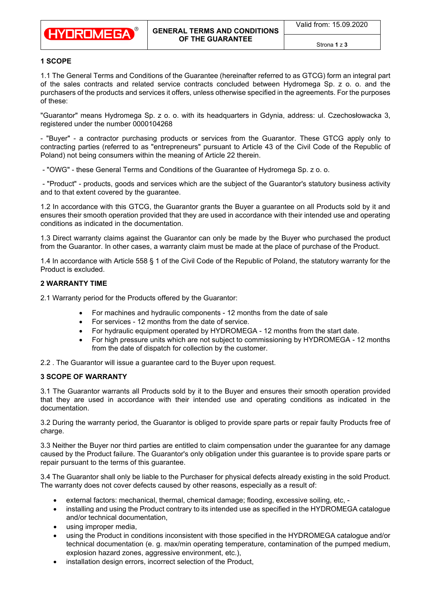

# **1 [SCOPE](https://pl.pons.com/t%C5%82umaczenie/angielski-polski/SCOPE)**

[1.1](https://pl.pons.com/t%C5%82umaczenie/angielski-polski/1.) [The](https://pl.pons.com/t%C5%82umaczenie/angielski-polski/The) [General](https://pl.pons.com/t%C5%82umaczenie/angielski-polski/General) [Terms](https://pl.pons.com/t%C5%82umaczenie/angielski-polski/Terms) [and](https://pl.pons.com/t%C5%82umaczenie/angielski-polski/and) [Conditions](https://pl.pons.com/t%C5%82umaczenie/angielski-polski/Conditions) [of](https://pl.pons.com/t%C5%82umaczenie/angielski-polski/of) [the](https://pl.pons.com/t%C5%82umaczenie/angielski-polski/the) [Guarantee](https://pl.pons.com/t%C5%82umaczenie/angielski-polski/Guarantee) [\(hereinafter](https://pl.pons.com/t%C5%82umaczenie/angielski-polski/hereinafter) [referred](https://pl.pons.com/t%C5%82umaczenie/angielski-polski/referred) [to](https://pl.pons.com/t%C5%82umaczenie/angielski-polski/to) [as](https://pl.pons.com/t%C5%82umaczenie/angielski-polski/as) [GTCG\)](https://pl.pons.com/t%C5%82umaczenie/angielski-polski/GVG) [form](https://pl.pons.com/t%C5%82umaczenie/angielski-polski/form) [an](https://pl.pons.com/t%C5%82umaczenie/angielski-polski/an) [integral](https://pl.pons.com/t%C5%82umaczenie/angielski-polski/integral) [part](https://pl.pons.com/t%C5%82umaczenie/angielski-polski/part) [of](https://pl.pons.com/t%C5%82umaczenie/angielski-polski/of) [the](https://pl.pons.com/t%C5%82umaczenie/angielski-polski/the) [sales](https://pl.pons.com/t%C5%82umaczenie/angielski-polski/sales) [contracts](https://pl.pons.com/t%C5%82umaczenie/angielski-polski/contracts) [and](https://pl.pons.com/t%C5%82umaczenie/angielski-polski/and) [related](https://pl.pons.com/t%C5%82umaczenie/angielski-polski/related) [service](https://pl.pons.com/t%C5%82umaczenie/angielski-polski/service) [contracts](https://pl.pons.com/t%C5%82umaczenie/angielski-polski/contracts) [concluded](https://pl.pons.com/t%C5%82umaczenie/angielski-polski/concluded) [between](https://pl.pons.com/t%C5%82umaczenie/angielski-polski/etween) [Hydromega](https://pl.pons.com/t%C5%82umaczenie/angielski-polski/Hydromega) [Sp.](https://pl.pons.com/t%C5%82umaczenie/angielski-polski/sp) z [o.](https://pl.pons.com/t%C5%82umaczenie/angielski-polski/o.) [o.](https://pl.pons.com/t%C5%82umaczenie/angielski-polski/o.) [and](https://pl.pons.com/t%C5%82umaczenie/angielski-polski/and) [the](https://pl.pons.com/t%C5%82umaczenie/angielski-polski/the) [purchasers](https://pl.pons.com/t%C5%82umaczenie/angielski-polski/purchasers) [of](https://pl.pons.com/t%C5%82umaczenie/angielski-polski/of) [the](https://pl.pons.com/t%C5%82umaczenie/angielski-polski/the) [products](https://pl.pons.com/t%C5%82umaczenie/angielski-polski/products) [and](https://pl.pons.com/t%C5%82umaczenie/angielski-polski/and) [services](https://pl.pons.com/t%C5%82umaczenie/angielski-polski/services) [it](https://pl.pons.com/t%C5%82umaczenie/angielski-polski/it) [offers,](https://pl.pons.com/t%C5%82umaczenie/angielski-polski/offers) [unless](https://pl.pons.com/t%C5%82umaczenie/angielski-polski/nless) [otherwise](https://pl.pons.com/t%C5%82umaczenie/angielski-polski/otherwise) [specified](https://pl.pons.com/t%C5%82umaczenie/angielski-polski/specified) [in](https://pl.pons.com/t%C5%82umaczenie/angielski-polski/in) [the](https://pl.pons.com/t%C5%82umaczenie/angielski-polski/the) [agreements.](https://pl.pons.com/t%C5%82umaczenie/angielski-polski/agreements) [For](https://pl.pons.com/t%C5%82umaczenie/angielski-polski/For) [the](https://pl.pons.com/t%C5%82umaczenie/angielski-polski/the) [purposes](https://pl.pons.com/t%C5%82umaczenie/angielski-polski/purposes) [of](https://pl.pons.com/t%C5%82umaczenie/angielski-polski/of) these:

["Guarantor"](https://pl.pons.com/t%C5%82umaczenie/angielski-polski/Guarantor) [means](https://pl.pons.com/t%C5%82umaczenie/angielski-polski/means) [Hydromega](https://pl.pons.com/t%C5%82umaczenie/angielski-polski/Hydromega) [Sp.](https://pl.pons.com/t%C5%82umaczenie/angielski-polski/Sp) [z](https://pl.pons.com/t%C5%82umaczenie/angielski-polski/z) [o.](https://pl.pons.com/t%C5%82umaczenie/angielski-polski/o.) [o.](https://pl.pons.com/t%C5%82umaczenie/angielski-polski/o.) [with](https://pl.pons.com/t%C5%82umaczenie/angielski-polski/with) [its](https://pl.pons.com/t%C5%82umaczenie/angielski-polski/its) headquarters [in](https://pl.pons.com/t%C5%82umaczenie/angielski-polski/in) [Gdynia,](https://pl.pons.com/t%C5%82umaczenie/angielski-polski/Gdynia) [address:](https://pl.pons.com/t%C5%82umaczenie/angielski-polski/address) [ul.](https://pl.pons.com/t%C5%82umaczenie/angielski-polski/l.) [Czechosłowacka](https://pl.pons.com/t%C5%82umaczenie/angielski-polski/Czechoslovakian) [3,](https://pl.pons.com/t%C5%82umaczenie/angielski-polski/3,) [registered](https://pl.pons.com/t%C5%82umaczenie/angielski-polski/registered) [under](https://pl.pons.com/t%C5%82umaczenie/angielski-polski/nder) [the](https://pl.pons.com/t%C5%82umaczenie/angielski-polski/the) [number](https://pl.pons.com/t%C5%82umaczenie/angielski-polski/number) 0000104268

[-](https://pl.pons.com/t%C5%82umaczenie/angielski-polski/-) ["Buyer"](https://pl.pons.com/t%C5%82umaczenie/angielski-polski/Buyer) [-](https://pl.pons.com/t%C5%82umaczenie/angielski-polski/-) [a](https://pl.pons.com/t%C5%82umaczenie/angielski-polski/a) [contractor](https://pl.pons.com/t%C5%82umaczenie/angielski-polski/contractor) [purchasing](https://pl.pons.com/t%C5%82umaczenie/angielski-polski/purchasing) [products](https://pl.pons.com/t%C5%82umaczenie/angielski-polski/products) [or](https://pl.pons.com/t%C5%82umaczenie/angielski-polski/or) [services](https://pl.pons.com/t%C5%82umaczenie/angielski-polski/services) [from](https://pl.pons.com/t%C5%82umaczenie/angielski-polski/from) [the](https://pl.pons.com/t%C5%82umaczenie/angielski-polski/the) [Guarantor.](https://pl.pons.com/t%C5%82umaczenie/angielski-polski/Guarantor) [These](https://pl.pons.com/t%C5%82umaczenie/angielski-polski/These) [GTCG](https://pl.pons.com/t%C5%82umaczenie/angielski-polski/GERs) [apply](https://pl.pons.com/t%C5%82umaczenie/angielski-polski/apply) [only](https://pl.pons.com/t%C5%82umaczenie/angielski-polski/only) [to](https://pl.pons.com/t%C5%82umaczenie/angielski-polski/to) [contracting](https://pl.pons.com/t%C5%82umaczenie/angielski-polski/contracting) [parties](https://pl.pons.com/t%C5%82umaczenie/angielski-polski/parties) (referred to as "entrepreneurs" pursuant to [Article](https://pl.pons.com/t%C5%82umaczenie/angielski-polski/Article) 43 of the Civil Code of the Republic of Polan[d\)](https://pl.pons.com/t%C5%82umaczenie/angielski-polski/)) [not](https://pl.pons.com/t%C5%82umaczenie/angielski-polski/not) [being](https://pl.pons.com/t%C5%82umaczenie/angielski-polski/eing) [consumers](https://pl.pons.com/t%C5%82umaczenie/angielski-polski/consumers) [within](https://pl.pons.com/t%C5%82umaczenie/angielski-polski/within) [the](https://pl.pons.com/t%C5%82umaczenie/angielski-polski/the) [meaning](https://pl.pons.com/t%C5%82umaczenie/angielski-polski/meaning) [of](https://pl.pons.com/t%C5%82umaczenie/angielski-polski/of) [Article](https://pl.pons.com/t%C5%82umaczenie/angielski-polski/Article) 22 therein.

[-](https://pl.pons.com/t%C5%82umaczenie/angielski-polski/-) ["OWG"](https://pl.pons.com/t%C5%82umaczenie/angielski-polski/OWG) [-](https://pl.pons.com/t%C5%82umaczenie/angielski-polski/-) [these](https://pl.pons.com/t%C5%82umaczenie/angielski-polski/these) [General](https://pl.pons.com/t%C5%82umaczenie/angielski-polski/General) Terms [and](https://pl.pons.com/t%C5%82umaczenie/angielski-polski/and) [Conditions](https://pl.pons.com/t%C5%82umaczenie/angielski-polski/Conditions) [of](https://pl.pons.com/t%C5%82umaczenie/angielski-polski/of) the Guarantee of [Hydromega](https://pl.pons.com/t%C5%82umaczenie/angielski-polski/Hydromega) [Sp.](https://pl.pons.com/t%C5%82umaczenie/angielski-polski/Sp) z [o.](https://pl.pons.com/t%C5%82umaczenie/angielski-polski/o.) [o.](https://pl.pons.com/t%C5%82umaczenie/angielski-polski/o.)

[-](https://pl.pons.com/t%C5%82umaczenie/angielski-polski/-) ["Product"](https://pl.pons.com/t%C5%82umaczenie/angielski-polski/Product) [-](https://pl.pons.com/t%C5%82umaczenie/angielski-polski/-) [products,](https://pl.pons.com/t%C5%82umaczenie/angielski-polski/products) [goods](https://pl.pons.com/t%C5%82umaczenie/angielski-polski/goods) [and](https://pl.pons.com/t%C5%82umaczenie/angielski-polski/and) [services](https://pl.pons.com/t%C5%82umaczenie/angielski-polski/services) [which](https://pl.pons.com/t%C5%82umaczenie/angielski-polski/which) [are](https://pl.pons.com/t%C5%82umaczenie/angielski-polski/are) [the](https://pl.pons.com/t%C5%82umaczenie/angielski-polski/the) [subject](https://pl.pons.com/t%C5%82umaczenie/angielski-polski/subject) [of](https://pl.pons.com/t%C5%82umaczenie/angielski-polski/of) [the](https://pl.pons.com/t%C5%82umaczenie/angielski-polski/the) [Guarantor'](https://pl.pons.com/t%C5%82umaczenie/angielski-polski/Guarantor)[s](https://pl.pons.com/t%C5%82umaczenie/angielski-polski/s) [statutory](https://pl.pons.com/t%C5%82umaczenie/angielski-polski/statutory) b[usiness](https://pl.pons.com/t%C5%82umaczenie/angielski-polski/siness) [activity](https://pl.pons.com/t%C5%82umaczenie/angielski-polski/activity) [and](https://pl.pons.com/t%C5%82umaczenie/angielski-polski/and) [to](https://pl.pons.com/t%C5%82umaczenie/angielski-polski/to) [that](https://pl.pons.com/t%C5%82umaczenie/angielski-polski/that) [extent](https://pl.pons.com/t%C5%82umaczenie/angielski-polski/extent) [covered](https://pl.pons.com/t%C5%82umaczenie/angielski-polski/covered) [by](https://pl.pons.com/t%C5%82umaczenie/angielski-polski/by) [the](https://pl.pons.com/t%C5%82umaczenie/angielski-polski/the) [guarantee.](https://pl.pons.com/t%C5%82umaczenie/angielski-polski/guarantee)

[1.2](https://pl.pons.com/t%C5%82umaczenie/angielski-polski/1.) [In](https://pl.pons.com/t%C5%82umaczenie/angielski-polski/In) [accordance](https://pl.pons.com/t%C5%82umaczenie/angielski-polski/accordance) [with](https://pl.pons.com/t%C5%82umaczenie/angielski-polski/with) [this](https://pl.pons.com/t%C5%82umaczenie/angielski-polski/this) [GTCG,](https://pl.pons.com/t%C5%82umaczenie/angielski-polski/GWG) [the](https://pl.pons.com/t%C5%82umaczenie/angielski-polski/the) [Guarantor](https://pl.pons.com/t%C5%82umaczenie/angielski-polski/Guarantor) grants [the](https://pl.pons.com/t%C5%82umaczenie/angielski-polski/the) [Buyer](https://pl.pons.com/t%C5%82umaczenie/angielski-polski/Buyer) a guarantee on [all](https://pl.pons.com/t%C5%82umaczenie/angielski-polski/all) [Products](https://pl.pons.com/t%C5%82umaczenie/angielski-polski/Products) [sold](https://pl.pons.com/t%C5%82umaczenie/angielski-polski/sold) [by](https://pl.pons.com/t%C5%82umaczenie/angielski-polski/by) [it](https://pl.pons.com/t%C5%82umaczenie/angielski-polski/it) [and](https://pl.pons.com/t%C5%82umaczenie/angielski-polski/and) [ensures](https://pl.pons.com/t%C5%82umaczenie/angielski-polski/ensures) [their](https://pl.pons.com/t%C5%82umaczenie/angielski-polski/the) [smooth](https://pl.pons.com/t%C5%82umaczenie/angielski-polski/smooth) [operation](https://pl.pons.com/t%C5%82umaczenie/angielski-polski/operation) [provided](https://pl.pons.com/t%C5%82umaczenie/angielski-polski/provided) [that](https://pl.pons.com/t%C5%82umaczenie/angielski-polski/that) [they](https://pl.pons.com/t%C5%82umaczenie/angielski-polski/they) [are](https://pl.pons.com/t%C5%82umaczenie/angielski-polski/are) [used](https://pl.pons.com/t%C5%82umaczenie/angielski-polski/sed) [in](https://pl.pons.com/t%C5%82umaczenie/angielski-polski/in) [accordance](https://pl.pons.com/t%C5%82umaczenie/angielski-polski/accordance) [with](https://pl.pons.com/t%C5%82umaczenie/angielski-polski/with) [their](https://pl.pons.com/t%C5%82umaczenie/angielski-polski/their) [intended](https://pl.pons.com/t%C5%82umaczenie/angielski-polski/intended) [use](https://pl.pons.com/t%C5%82umaczenie/angielski-polski/se) [and](https://pl.pons.com/t%C5%82umaczenie/angielski-polski/and) [operating](https://pl.pons.com/t%C5%82umaczenie/angielski-polski/operating) [conditions](https://pl.pons.com/t%C5%82umaczenie/angielski-polski/conditions) [as](https://pl.pons.com/t%C5%82umaczenie/angielski-polski/as) [indicated](https://pl.pons.com/t%C5%82umaczenie/angielski-polski/specified) [in](https://pl.pons.com/t%C5%82umaczenie/angielski-polski/in) [the](https://pl.pons.com/t%C5%82umaczenie/angielski-polski/the) [documentation.](https://pl.pons.com/t%C5%82umaczenie/angielski-polski/documentation)

[1.3](https://pl.pons.com/t%C5%82umaczenie/angielski-polski/1.) [Direct](https://pl.pons.com/t%C5%82umaczenie/angielski-polski/Direct) [warranty](https://pl.pons.com/t%C5%82umaczenie/angielski-polski/warranty) [claims](https://pl.pons.com/t%C5%82umaczenie/angielski-polski/claims) [against](https://pl.pons.com/t%C5%82umaczenie/angielski-polski/against) [the](https://pl.pons.com/t%C5%82umaczenie/angielski-polski/the) [Guarantor](https://pl.pons.com/t%C5%82umaczenie/angielski-polski/Guarantor) [can](https://pl.pons.com/t%C5%82umaczenie/angielski-polski/can) [only](https://pl.pons.com/t%C5%82umaczenie/angielski-polski/only) [be](https://pl.pons.com/t%C5%82umaczenie/angielski-polski/be) [made](https://pl.pons.com/t%C5%82umaczenie/angielski-polski/made) [by](https://pl.pons.com/t%C5%82umaczenie/angielski-polski/by) [the](https://pl.pons.com/t%C5%82umaczenie/angielski-polski/the) [Buyer](https://pl.pons.com/t%C5%82umaczenie/angielski-polski/Buyer) [who](https://pl.pons.com/t%C5%82umaczenie/angielski-polski/who) [purchased](https://pl.pons.com/t%C5%82umaczenie/angielski-polski/purchased) [the](https://pl.pons.com/t%C5%82umaczenie/angielski-polski/the) [product](https://pl.pons.com/t%C5%82umaczenie/angielski-polski/product) [from](https://pl.pons.com/t%C5%82umaczenie/angielski-polski/from) [the](https://pl.pons.com/t%C5%82umaczenie/angielski-polski/the) [Guarantor.](https://pl.pons.com/t%C5%82umaczenie/angielski-polski/Guarantor) [In](https://pl.pons.com/t%C5%82umaczenie/angielski-polski/In) [other](https://pl.pons.com/t%C5%82umaczenie/angielski-polski/other) [cases,](https://pl.pons.com/t%C5%82umaczenie/angielski-polski/cases) [a](https://pl.pons.com/t%C5%82umaczenie/angielski-polski/a) [warranty](https://pl.pons.com/t%C5%82umaczenie/angielski-polski/warranty) [claim](https://pl.pons.com/t%C5%82umaczenie/angielski-polski/claim) [must](https://pl.pons.com/t%C5%82umaczenie/angielski-polski/must) [be](https://pl.pons.com/t%C5%82umaczenie/angielski-polski/be) [made](https://pl.pons.com/t%C5%82umaczenie/angielski-polski/made) [at](https://pl.pons.com/t%C5%82umaczenie/angielski-polski/at) [the](https://pl.pons.com/t%C5%82umaczenie/angielski-polski/the) [place](https://pl.pons.com/t%C5%82umaczenie/angielski-polski/place) [of](https://pl.pons.com/t%C5%82umaczenie/angielski-polski/of) [purchase](https://pl.pons.com/t%C5%82umaczenie/angielski-polski/purchase) [of](https://pl.pons.com/t%C5%82umaczenie/angielski-polski/of) [the](https://pl.pons.com/t%C5%82umaczenie/angielski-polski/the) [Product.](https://pl.pons.com/t%C5%82umaczenie/angielski-polski/Product)

[1.4](https://pl.pons.com/t%C5%82umaczenie/angielski-polski/1.) [In](https://pl.pons.com/t%C5%82umaczenie/angielski-polski/In) [accordance](https://pl.pons.com/t%C5%82umaczenie/angielski-polski/accordance) [with](https://pl.pons.com/t%C5%82umaczenie/angielski-polski/with) [Article](https://pl.pons.com/t%C5%82umaczenie/angielski-polski/Article) 558 [§](https://pl.pons.com/t%C5%82umaczenie/angielski-polski/%C2%A7) 1 [of](https://pl.pons.com/t%C5%82umaczenie/angielski-polski/of) [the](https://pl.pons.com/t%C5%82umaczenie/angielski-polski/the) [Civil](https://pl.pons.com/t%C5%82umaczenie/angielski-polski/Civil) [Code](https://pl.pons.com/t%C5%82umaczenie/angielski-polski/Code) of the Republic of Poland, [the](https://pl.pons.com/t%C5%82umaczenie/angielski-polski/the) statutory warranty for the Product [is](https://pl.pons.com/t%C5%82umaczenie/angielski-polski/is) [excluded.](https://pl.pons.com/t%C5%82umaczenie/angielski-polski/excluded)

### **2 [WARRANTY](https://pl.pons.com/t%C5%82umaczenie/angielski-polski/WARRANTY) [TIME](https://pl.pons.com/t%C5%82umaczenie/angielski-polski/TIME)**

[2.1](https://pl.pons.com/t%C5%82umaczenie/angielski-polski/2.) [Warranty](https://pl.pons.com/t%C5%82umaczenie/angielski-polski/Warranty) [period](https://pl.pons.com/t%C5%82umaczenie/angielski-polski/period) [for](https://pl.pons.com/t%C5%82umaczenie/angielski-polski/for) the [Products](https://pl.pons.com/t%C5%82umaczenie/angielski-polski/Products) [offered](https://pl.pons.com/t%C5%82umaczenie/angielski-polski/offered) [by](https://pl.pons.com/t%C5%82umaczenie/angielski-polski/by) [the](https://pl.pons.com/t%C5%82umaczenie/angielski-polski/the) [Guarantor:](https://pl.pons.com/t%C5%82umaczenie/angielski-polski/Guarantor)

- [For](https://pl.pons.com/t%C5%82umaczenie/angielski-polski/For) [machines](https://pl.pons.com/t%C5%82umaczenie/angielski-polski/machines) [and](https://pl.pons.com/t%C5%82umaczenie/angielski-polski/and) [hydraulic](https://pl.pons.com/t%C5%82umaczenie/angielski-polski/hydraulic) [components](https://pl.pons.com/t%C5%82umaczenie/angielski-polski/components) [-](https://pl.pons.com/t%C5%82umaczenie/angielski-polski/-) 12 [months](https://pl.pons.com/t%C5%82umaczenie/angielski-polski/months) [from](https://pl.pons.com/t%C5%82umaczenie/angielski-polski/from) [the](https://pl.pons.com/t%C5%82umaczenie/angielski-polski/the) [date](https://pl.pons.com/t%C5%82umaczenie/angielski-polski/date) [of](https://pl.pons.com/t%C5%82umaczenie/angielski-polski/of) [sale](https://pl.pons.com/t%C5%82umaczenie/angielski-polski/sale)
- [For](https://pl.pons.com/t%C5%82umaczenie/angielski-polski/For) [services](https://pl.pons.com/t%C5%82umaczenie/angielski-polski/services) [-](https://pl.pons.com/t%C5%82umaczenie/angielski-polski/-) 12 [months](https://pl.pons.com/t%C5%82umaczenie/angielski-polski/months) [from](https://pl.pons.com/t%C5%82umaczenie/angielski-polski/from) [the](https://pl.pons.com/t%C5%82umaczenie/angielski-polski/the) [date](https://pl.pons.com/t%C5%82umaczenie/angielski-polski/date) [of](https://pl.pons.com/t%C5%82umaczenie/angielski-polski/of) [service.](https://pl.pons.com/t%C5%82umaczenie/angielski-polski/service)
- [For](https://pl.pons.com/t%C5%82umaczenie/angielski-polski/For) [hydraulic](https://pl.pons.com/t%C5%82umaczenie/angielski-polski/hydraulic) [equipment](https://pl.pons.com/t%C5%82umaczenie/angielski-polski/equipment) [operated](https://pl.pons.com/t%C5%82umaczenie/angielski-polski/operated) [by](https://pl.pons.com/t%C5%82umaczenie/angielski-polski/by) [HYDROMEGA](https://pl.pons.com/t%C5%82umaczenie/angielski-polski/HYDROMEGA) [-](https://pl.pons.com/t%C5%82umaczenie/angielski-polski/-) 12 [months](https://pl.pons.com/t%C5%82umaczenie/angielski-polski/months) from the start date.
- [For](https://pl.pons.com/t%C5%82umaczenie/angielski-polski/For) high pressure units [which](https://pl.pons.com/t%C5%82umaczenie/angielski-polski/which) [are](https://pl.pons.com/t%C5%82umaczenie/angielski-polski/are) [not](https://pl.pons.com/t%C5%82umaczenie/angielski-polski/not) [subject](https://pl.pons.com/t%C5%82umaczenie/angielski-polski/subject) [to](https://pl.pons.com/t%C5%82umaczenie/angielski-polski/to) [commissioning](https://pl.pons.com/t%C5%82umaczenie/angielski-polski/commissioning) [by](https://pl.pons.com/t%C5%82umaczenie/angielski-polski/by) [HYDROMEGA](https://pl.pons.com/t%C5%82umaczenie/angielski-polski/HYDROMEGA) [-](https://pl.pons.com/t%C5%82umaczenie/angielski-polski/-) 12 [months](https://pl.pons.com/t%C5%82umaczenie/angielski-polski/months) [from](https://pl.pons.com/t%C5%82umaczenie/angielski-polski/from) [the](https://pl.pons.com/t%C5%82umaczenie/angielski-polski/the) [date](https://pl.pons.com/t%C5%82umaczenie/angielski-polski/date) [of](https://pl.pons.com/t%C5%82umaczenie/angielski-polski/of) [dispatch](https://pl.pons.com/t%C5%82umaczenie/angielski-polski/dispatch) [for](https://pl.pons.com/t%C5%82umaczenie/angielski-polski/for) [collection](https://pl.pons.com/t%C5%82umaczenie/angielski-polski/collection) [by](https://pl.pons.com/t%C5%82umaczenie/angielski-polski/by) [the](https://pl.pons.com/t%C5%82umaczenie/angielski-polski/the) [customer.](https://pl.pons.com/t%C5%82umaczenie/angielski-polski/customer)
- [2.2](https://pl.pons.com/t%C5%82umaczenie/angielski-polski/2.) [.](https://pl.pons.com/t%C5%82umaczenie/angielski-polski/) The [Guarantor](https://pl.pons.com/t%C5%82umaczenie/angielski-polski/Guarantor) [will](https://pl.pons.com/t%C5%82umaczenie/angielski-polski/will) [issue](https://pl.pons.com/t%C5%82umaczenie/angielski-polski/issue) [a](https://pl.pons.com/t%C5%82umaczenie/angielski-polski/a) [guarantee](https://pl.pons.com/t%C5%82umaczenie/angielski-polski/guarantee) [card](https://pl.pons.com/t%C5%82umaczenie/angielski-polski/card) [to](https://pl.pons.com/t%C5%82umaczenie/angielski-polski/to) [the](https://pl.pons.com/t%C5%82umaczenie/angielski-polski/the) [Buyer](https://pl.pons.com/t%C5%82umaczenie/angielski-polski/Buyer) upon request.

#### **3 [SCOPE](https://pl.pons.com/t%C5%82umaczenie/angielski-polski/SCOPE) [OF](https://pl.pons.com/t%C5%82umaczenie/angielski-polski/OF) [WARRANTY](https://pl.pons.com/t%C5%82umaczenie/angielski-polski/WARRANTY)**

[3.1](https://pl.pons.com/t%C5%82umaczenie/angielski-polski/3.) [The](https://pl.pons.com/t%C5%82umaczenie/angielski-polski/The) [Guarantor](https://pl.pons.com/t%C5%82umaczenie/angielski-polski/Guarantor) [warrants](https://pl.pons.com/t%C5%82umaczenie/angielski-polski/warrants) [all](https://pl.pons.com/t%C5%82umaczenie/angielski-polski/all) [Products](https://pl.pons.com/t%C5%82umaczenie/angielski-polski/Products) [sold](https://pl.pons.com/t%C5%82umaczenie/angielski-polski/sold) [by](https://pl.pons.com/t%C5%82umaczenie/angielski-polski/by) [it](https://pl.pons.com/t%C5%82umaczenie/angielski-polski/it) [to](https://pl.pons.com/t%C5%82umaczenie/angielski-polski/to) [the](https://pl.pons.com/t%C5%82umaczenie/angielski-polski/the) [Buyer](https://pl.pons.com/t%C5%82umaczenie/angielski-polski/Buyer) [and](https://pl.pons.com/t%C5%82umaczenie/angielski-polski/and) [ensures](https://pl.pons.com/t%C5%82umaczenie/angielski-polski/ensures) [their](https://pl.pons.com/t%C5%82umaczenie/angielski-polski/the) [smooth](https://pl.pons.com/t%C5%82umaczenie/angielski-polski/smooth) [operation](https://pl.pons.com/t%C5%82umaczenie/angielski-polski/operation) [provided](https://pl.pons.com/t%C5%82umaczenie/angielski-polski/provided) [that](https://pl.pons.com/t%C5%82umaczenie/angielski-polski/that) [they](https://pl.pons.com/t%C5%82umaczenie/angielski-polski/they) [are](https://pl.pons.com/t%C5%82umaczenie/angielski-polski/are) [used](https://pl.pons.com/t%C5%82umaczenie/angielski-polski/sed) [in](https://pl.pons.com/t%C5%82umaczenie/angielski-polski/in) [accordance](https://pl.pons.com/t%C5%82umaczenie/angielski-polski/accordance) [with](https://pl.pons.com/t%C5%82umaczenie/angielski-polski/with) [their](https://pl.pons.com/t%C5%82umaczenie/angielski-polski/their) [intended](https://pl.pons.com/t%C5%82umaczenie/angielski-polski/intended) [use](https://pl.pons.com/t%C5%82umaczenie/angielski-polski/se) [and](https://pl.pons.com/t%C5%82umaczenie/angielski-polski/and) [operating](https://pl.pons.com/t%C5%82umaczenie/angielski-polski/operating) [conditions](https://pl.pons.com/t%C5%82umaczenie/angielski-polski/conditions) [as](https://pl.pons.com/t%C5%82umaczenie/angielski-polski/as) [indicated](https://pl.pons.com/t%C5%82umaczenie/angielski-polski/specified) [in](https://pl.pons.com/t%C5%82umaczenie/angielski-polski/in) [the](https://pl.pons.com/t%C5%82umaczenie/angielski-polski/the) [documentation.](https://pl.pons.com/t%C5%82umaczenie/angielski-polski/documentation) 

[3.2](https://pl.pons.com/t%C5%82umaczenie/angielski-polski/3.) [During](https://pl.pons.com/t%C5%82umaczenie/angielski-polski/During) [the](https://pl.pons.com/t%C5%82umaczenie/angielski-polski/the) [warranty](https://pl.pons.com/t%C5%82umaczenie/angielski-polski/warranty) [period,](https://pl.pons.com/t%C5%82umaczenie/angielski-polski/period) [the](https://pl.pons.com/t%C5%82umaczenie/angielski-polski/the) [Guarantor](https://pl.pons.com/t%C5%82umaczenie/angielski-polski/Guarantor) [is](https://pl.pons.com/t%C5%82umaczenie/angielski-polski/is) [obliged](https://pl.pons.com/t%C5%82umaczenie/angielski-polski/obliged) [to](https://pl.pons.com/t%C5%82umaczenie/angielski-polski/to) [provide](https://pl.pons.com/t%C5%82umaczenie/angielski-polski/provide) [spare](https://pl.pons.com/t%C5%82umaczenie/angielski-polski/spare) [parts](https://pl.pons.com/t%C5%82umaczenie/angielski-polski/parts) [or](https://pl.pons.com/t%C5%82umaczenie/angielski-polski/or) [repair](https://pl.pons.com/t%C5%82umaczenie/angielski-polski/repair) [faulty](https://pl.pons.com/t%C5%82umaczenie/angielski-polski/faulty) [Products](https://pl.pons.com/t%C5%82umaczenie/angielski-polski/Products) [free](https://pl.pons.com/t%C5%82umaczenie/angielski-polski/free) [of](https://pl.pons.com/t%C5%82umaczenie/angielski-polski/of) [charge.](https://pl.pons.com/t%C5%82umaczenie/angielski-polski/charge) 

[3.3](https://pl.pons.com/t%C5%82umaczenie/angielski-polski/3.) Neither [the](https://pl.pons.com/t%C5%82umaczenie/angielski-polski/the) [Buyer](https://pl.pons.com/t%C5%82umaczenie/angielski-polski/Buyer) [nor](https://pl.pons.com/t%C5%82umaczenie/angielski-polski/or) [third](https://pl.pons.com/t%C5%82umaczenie/angielski-polski/third) [parties](https://pl.pons.com/t%C5%82umaczenie/angielski-polski/parties) [are](https://pl.pons.com/t%C5%82umaczenie/angielski-polski/are) [entitled](https://pl.pons.com/t%C5%82umaczenie/angielski-polski/entitled) [to](https://pl.pons.com/t%C5%82umaczenie/angielski-polski/to) [claim](https://pl.pons.com/t%C5%82umaczenie/angielski-polski/claim) [compensation](https://pl.pons.com/t%C5%82umaczenie/angielski-polski/compensation) under the guarantee [for](https://pl.pons.com/t%C5%82umaczenie/angielski-polski/for) [any](https://pl.pons.com/t%C5%82umaczenie/angielski-polski/any) [damage](https://pl.pons.com/t%C5%82umaczenie/angielski-polski/damage) [caused](https://pl.pons.com/t%C5%82umaczenie/angielski-polski/caused) [by](https://pl.pons.com/t%C5%82umaczenie/angielski-polski/by) [the](https://pl.pons.com/t%C5%82umaczenie/angielski-polski/the) [Product](https://pl.pons.com/t%C5%82umaczenie/angielski-polski/Product) [failure.](https://pl.pons.com/t%C5%82umaczenie/angielski-polski/failure) [The](https://pl.pons.com/t%C5%82umaczenie/angielski-polski/The) [Guarantor'](https://pl.pons.com/t%C5%82umaczenie/angielski-polski/Guarantor)[s](https://pl.pons.com/t%C5%82umaczenie/angielski-polski/s) [only](https://pl.pons.com/t%C5%82umaczenie/angielski-polski/only) [obligation](https://pl.pons.com/t%C5%82umaczenie/angielski-polski/obligation) [under](https://pl.pons.com/t%C5%82umaczenie/angielski-polski/nder) [this](https://pl.pons.com/t%C5%82umaczenie/angielski-polski/this) [guarantee](https://pl.pons.com/t%C5%82umaczenie/angielski-polski/guarantee) [is](https://pl.pons.com/t%C5%82umaczenie/angielski-polski/is) [to](https://pl.pons.com/t%C5%82umaczenie/angielski-polski/to) [provide](https://pl.pons.com/t%C5%82umaczenie/angielski-polski/provide) [spare](https://pl.pons.com/t%C5%82umaczenie/angielski-polski/spare) [parts](https://pl.pons.com/t%C5%82umaczenie/angielski-polski/parts) [or](https://pl.pons.com/t%C5%82umaczenie/angielski-polski/or) [repair](https://pl.pons.com/t%C5%82umaczenie/angielski-polski/repair) pursuant to [the](https://pl.pons.com/t%C5%82umaczenie/angielski-polski/the) [terms](https://pl.pons.com/t%C5%82umaczenie/angielski-polski/terms) [of](https://pl.pons.com/t%C5%82umaczenie/angielski-polski/of) [this](https://pl.pons.com/t%C5%82umaczenie/angielski-polski/this) [guarantee.](https://pl.pons.com/t%C5%82umaczenie/angielski-polski/guarantee)

[3.4](https://pl.pons.com/t%C5%82umaczenie/angielski-polski/3.) [The](https://pl.pons.com/t%C5%82umaczenie/angielski-polski/The) [Guarantor](https://pl.pons.com/t%C5%82umaczenie/angielski-polski/Guarantor) [shall](https://pl.pons.com/t%C5%82umaczenie/angielski-polski/shall) [only](https://pl.pons.com/t%C5%82umaczenie/angielski-polski/only) [be](https://pl.pons.com/t%C5%82umaczenie/angielski-polski/be) [liable](https://pl.pons.com/t%C5%82umaczenie/angielski-polski/liable) [to](https://pl.pons.com/t%C5%82umaczenie/angielski-polski/to) [the](https://pl.pons.com/t%C5%82umaczenie/angielski-polski/the) [Purchaser](https://pl.pons.com/t%C5%82umaczenie/angielski-polski/Purchaser) [for](https://pl.pons.com/t%C5%82umaczenie/angielski-polski/for) [physical](https://pl.pons.com/t%C5%82umaczenie/angielski-polski/physical) [defects](https://pl.pons.com/t%C5%82umaczenie/angielski-polski/defects) already existing in [the](https://pl.pons.com/t%C5%82umaczenie/angielski-polski/the) [sold](https://pl.pons.com/t%C5%82umaczenie/angielski-polski/sold) [Product.](https://pl.pons.com/t%C5%82umaczenie/angielski-polski/Product) [The](https://pl.pons.com/t%C5%82umaczenie/angielski-polski/The) [warranty](https://pl.pons.com/t%C5%82umaczenie/angielski-polski/warranty) [does](https://pl.pons.com/t%C5%82umaczenie/angielski-polski/does) [not](https://pl.pons.com/t%C5%82umaczenie/angielski-polski/not) [cover](https://pl.pons.com/t%C5%82umaczenie/angielski-polski/cover) [defects](https://pl.pons.com/t%C5%82umaczenie/angielski-polski/defects) [caused](https://pl.pons.com/t%C5%82umaczenie/angielski-polski/caused) [by](https://pl.pons.com/t%C5%82umaczenie/angielski-polski/by) [other](https://pl.pons.com/t%C5%82umaczenie/angielski-polski/other) [reasons,](https://pl.pons.com/t%C5%82umaczenie/angielski-polski/reasons) [especially](https://pl.pons.com/t%C5%82umaczenie/angielski-polski/especially) [as](https://pl.pons.com/t%C5%82umaczenie/angielski-polski/as) [a](https://pl.pons.com/t%C5%82umaczenie/angielski-polski/a) [result](https://pl.pons.com/t%C5%82umaczenie/angielski-polski/result) of:

- [external](https://pl.pons.com/t%C5%82umaczenie/angielski-polski/external) [factors:](https://pl.pons.com/t%C5%82umaczenie/angielski-polski/factors) [mechanical,](https://pl.pons.com/t%C5%82umaczenie/angielski-polski/mechanical) [thermal,](https://pl.pons.com/t%C5%82umaczenie/angielski-polski/thermal) [chemical](https://pl.pons.com/t%C5%82umaczenie/angielski-polski/chemical) damage; [flooding,](https://pl.pons.com/t%C5%82umaczenie/angielski-polski/flooding) [excessive](https://pl.pons.com/t%C5%82umaczenie/angielski-polski/excessive) [soiling,](https://pl.pons.com/t%C5%82umaczenie/angielski-polski/soiling) [etc,](https://pl.pons.com/t%C5%82umaczenie/angielski-polski/etc) [-](https://pl.pons.com/t%C5%82umaczenie/angielski-polski/-)
- [installin](https://pl.pons.com/t%C5%82umaczenie/angielski-polski/install)g [and](https://pl.pons.com/t%C5%82umaczenie/angielski-polski/and) u[sing](https://pl.pons.com/t%C5%82umaczenie/angielski-polski/se) [the](https://pl.pons.com/t%C5%82umaczenie/angielski-polski/the) [Product](https://pl.pons.com/t%C5%82umaczenie/angielski-polski/Product) contrary t[o its](https://pl.pons.com/t%C5%82umaczenie/angielski-polski/its) [intended](https://pl.pons.com/t%C5%82umaczenie/angielski-polski/intended) [use](https://pl.pons.com/t%C5%82umaczenie/angielski-polski/se) [as](https://pl.pons.com/t%C5%82umaczenie/angielski-polski/as) [specified](https://pl.pons.com/t%C5%82umaczenie/angielski-polski/specified) [in](https://pl.pons.com/t%C5%82umaczenie/angielski-polski/in) the [HYDROMEGA](https://pl.pons.com/t%C5%82umaczenie/angielski-polski/Hydromega) catalogue [and/](https://pl.pons.com/t%C5%82umaczenie/angielski-polski/and)[or](https://pl.pons.com/t%C5%82umaczenie/angielski-polski/or) technical documentation,
- [using](https://pl.pons.com/t%C5%82umaczenie/angielski-polski/sing) [improper](https://pl.pons.com/t%C5%82umaczenie/angielski-polski/improper) [media,](https://pl.pons.com/t%C5%82umaczenie/angielski-polski/media)
- [using](https://pl.pons.com/t%C5%82umaczenie/angielski-polski/sing) [the](https://pl.pons.com/t%C5%82umaczenie/angielski-polski/the) [Product](https://pl.pons.com/t%C5%82umaczenie/angielski-polski/Product) [in](https://pl.pons.com/t%C5%82umaczenie/angielski-polski/in) [conditions](https://pl.pons.com/t%C5%82umaczenie/angielski-polski/conditions) [inconsistent](https://pl.pons.com/t%C5%82umaczenie/angielski-polski/inconsistent) [with](https://pl.pons.com/t%C5%82umaczenie/angielski-polski/with) [those](https://pl.pons.com/t%C5%82umaczenie/angielski-polski/those) [specified](https://pl.pons.com/t%C5%82umaczenie/angielski-polski/specified) [in](https://pl.pons.com/t%C5%82umaczenie/angielski-polski/in) [the](https://pl.pons.com/t%C5%82umaczenie/angielski-polski/the) [HYDROMEGA](https://pl.pons.com/t%C5%82umaczenie/angielski-polski/Hydromega) catalogue [and/](https://pl.pons.com/t%C5%82umaczenie/angielski-polski/and)[or](https://pl.pons.com/t%C5%82umaczenie/angielski-polski/or) technical documentation [\(e.](https://pl.pons.com/t%C5%82umaczenie/angielski-polski/e.) [g.](https://pl.pons.com/t%C5%82umaczenie/angielski-polski/g.) [max/](https://pl.pons.com/t%C5%82umaczenie/angielski-polski/max)[min](https://pl.pons.com/t%C5%82umaczenie/angielski-polski/min) [operating](https://pl.pons.com/t%C5%82umaczenie/angielski-polski/operating) [temperature,](https://pl.pons.com/t%C5%82umaczenie/angielski-polski/temperature) [contamination](https://pl.pons.com/t%C5%82umaczenie/angielski-polski/contamination) [of](https://pl.pons.com/t%C5%82umaczenie/angielski-polski/of) [the](https://pl.pons.com/t%C5%82umaczenie/angielski-polski/the) [pumped](https://pl.pons.com/t%C5%82umaczenie/angielski-polski/pumped) [medium,](https://pl.pons.com/t%C5%82umaczenie/angielski-polski/medium) [explosion](https://pl.pons.com/t%C5%82umaczenie/angielski-polski/explosion) [hazard](https://pl.pons.com/t%C5%82umaczenie/angielski-polski/hazard) [zones,](https://pl.pons.com/t%C5%82umaczenie/angielski-polski/zones) [aggressive](https://pl.pons.com/t%C5%82umaczenie/angielski-polski/aggressive) [environment,](https://pl.pons.com/t%C5%82umaczenie/angielski-polski/environment) [etc.](https://pl.pons.com/t%C5%82umaczenie/angielski-polski/etc)[\),](https://pl.pons.com/t%C5%82umaczenie/angielski-polski/),)
- [installation](https://pl.pons.com/t%C5%82umaczenie/angielski-polski/installation) [design](https://pl.pons.com/t%C5%82umaczenie/angielski-polski/design) [errors,](https://pl.pons.com/t%C5%82umaczenie/angielski-polski/errors) [incorrect](https://pl.pons.com/t%C5%82umaczenie/angielski-polski/incorrect) [selection](https://pl.pons.com/t%C5%82umaczenie/angielski-polski/selection) [of](https://pl.pons.com/t%C5%82umaczenie/angielski-polski/of) [the](https://pl.pons.com/t%C5%82umaczenie/angielski-polski/the) Product,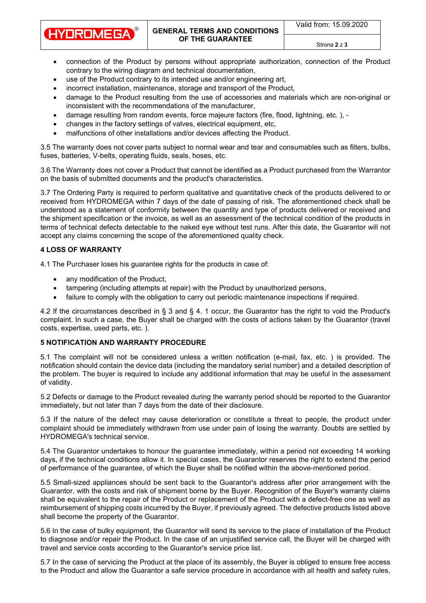Valid from: 15.09.2020

**[GENERAL](https://pl.pons.com/t%C5%82umaczenie/angielski-polski/General) [TERMS](https://pl.pons.com/t%C5%82umaczenie/angielski-polski/Terms) [AND](https://pl.pons.com/t%C5%82umaczenie/angielski-polski/and) [CONDITIONS](https://pl.pons.com/t%C5%82umaczenie/angielski-polski/Conditions) [OF](https://pl.pons.com/t%C5%82umaczenie/angielski-polski/of) [THE](https://pl.pons.com/t%C5%82umaczenie/angielski-polski/the) [GUARANTEE](https://pl.pons.com/t%C5%82umaczenie/angielski-polski/Guarantee)**

Strona **2** z **3**

- [connection](https://pl.pons.com/t%C5%82umaczenie/angielski-polski/connection) [of](https://pl.pons.com/t%C5%82umaczenie/angielski-polski/of) [the](https://pl.pons.com/t%C5%82umaczenie/angielski-polski/the) [Product](https://pl.pons.com/t%C5%82umaczenie/angielski-polski/Product) [by](https://pl.pons.com/t%C5%82umaczenie/angielski-polski/by) [persons](https://pl.pons.com/t%C5%82umaczenie/angielski-polski/persons) [without](https://pl.pons.com/t%C5%82umaczenie/angielski-polski/without) [appropriate](https://pl.pons.com/t%C5%82umaczenie/angielski-polski/appropriate) [authorization,](https://pl.pons.com/t%C5%82umaczenie/angielski-polski/authorization) [connection](https://pl.pons.com/t%C5%82umaczenie/angielski-polski/connection) [of](https://pl.pons.com/t%C5%82umaczenie/angielski-polski/of) [the](https://pl.pons.com/t%C5%82umaczenie/angielski-polski/the) [Product](https://pl.pons.com/t%C5%82umaczenie/angielski-polski/Product) contrary to [the](https://pl.pons.com/t%C5%82umaczenie/angielski-polski/the) [wiring](https://pl.pons.com/t%C5%82umaczenie/angielski-polski/wiring) [diagram](https://pl.pons.com/t%C5%82umaczenie/angielski-polski/diagram) [and](https://pl.pons.com/t%C5%82umaczenie/angielski-polski/and) [technical](https://pl.pons.com/t%C5%82umaczenie/angielski-polski/technical) [documentation,](https://pl.pons.com/t%C5%82umaczenie/angielski-polski/documentation)
- [use](https://pl.pons.com/t%C5%82umaczenie/angielski-polski/se) [of](https://pl.pons.com/t%C5%82umaczenie/angielski-polski/of) [the](https://pl.pons.com/t%C5%82umaczenie/angielski-polski/the) [Product](https://pl.pons.com/t%C5%82umaczenie/angielski-polski/Product) contrary to [its](https://pl.pons.com/t%C5%82umaczenie/angielski-polski/its) [intended](https://pl.pons.com/t%C5%82umaczenie/angielski-polski/intended) [use](https://pl.pons.com/t%C5%82umaczenie/angielski-polski/se) [and/](https://pl.pons.com/t%C5%82umaczenie/angielski-polski/and)[or](https://pl.pons.com/t%C5%82umaczenie/angielski-polski/or) [engineering](https://pl.pons.com/t%C5%82umaczenie/angielski-polski/engineering) [art,](https://pl.pons.com/t%C5%82umaczenie/angielski-polski/art)
- [incorrect](https://pl.pons.com/t%C5%82umaczenie/angielski-polski/incorrect) [installation,](https://pl.pons.com/t%C5%82umaczenie/angielski-polski/installation) [maintenance,](https://pl.pons.com/t%C5%82umaczenie/angielski-polski/maintenance) [storage](https://pl.pons.com/t%C5%82umaczenie/angielski-polski/storage) [and](https://pl.pons.com/t%C5%82umaczenie/angielski-polski/and) [transport](https://pl.pons.com/t%C5%82umaczenie/angielski-polski/transport) [of](https://pl.pons.com/t%C5%82umaczenie/angielski-polski/of) [the](https://pl.pons.com/t%C5%82umaczenie/angielski-polski/the) [Product,](https://pl.pons.com/t%C5%82umaczenie/angielski-polski/Product)
- [damage](https://pl.pons.com/t%C5%82umaczenie/angielski-polski/damage) [to](https://pl.pons.com/t%C5%82umaczenie/angielski-polski/to) [the](https://pl.pons.com/t%C5%82umaczenie/angielski-polski/the) [Product](https://pl.pons.com/t%C5%82umaczenie/angielski-polski/Product) [resulting](https://pl.pons.com/t%C5%82umaczenie/angielski-polski/resulting) [from](https://pl.pons.com/t%C5%82umaczenie/angielski-polski/from) [the](https://pl.pons.com/t%C5%82umaczenie/angielski-polski/the) [use](https://pl.pons.com/t%C5%82umaczenie/angielski-polski/se) [of](https://pl.pons.com/t%C5%82umaczenie/angielski-polski/of) [accessories](https://pl.pons.com/t%C5%82umaczenie/angielski-polski/accessories) [and](https://pl.pons.com/t%C5%82umaczenie/angielski-polski/and) [materials](https://pl.pons.com/t%C5%82umaczenie/angielski-polski/materials) which are [non-original](https://pl.pons.com/t%C5%82umaczenie/angielski-polski/non-original) [or](https://pl.pons.com/t%C5%82umaczenie/angielski-polski/or) [inconsistent](https://pl.pons.com/t%C5%82umaczenie/angielski-polski/inconsistent) [with](https://pl.pons.com/t%C5%82umaczenie/angielski-polski/with) [the](https://pl.pons.com/t%C5%82umaczenie/angielski-polski/the) [recommendations](https://pl.pons.com/t%C5%82umaczenie/angielski-polski/recommendations) [of](https://pl.pons.com/t%C5%82umaczenie/angielski-polski/of) [the](https://pl.pons.com/t%C5%82umaczenie/angielski-polski/the) [manufacturer,](https://pl.pons.com/t%C5%82umaczenie/angielski-polski/manufacturer)
- [damage](https://pl.pons.com/t%C5%82umaczenie/angielski-polski/damage) [resulting](https://pl.pons.com/t%C5%82umaczenie/angielski-polski/resulting) [from](https://pl.pons.com/t%C5%82umaczenie/angielski-polski/from) [random](https://pl.pons.com/t%C5%82umaczenie/angielski-polski/random) [events,](https://pl.pons.com/t%C5%82umaczenie/angielski-polski/events) [force](https://pl.pons.com/t%C5%82umaczenie/angielski-polski/force) [majeure](https://pl.pons.com/t%C5%82umaczenie/angielski-polski/majeure) [factors](https://pl.pons.com/t%C5%82umaczenie/angielski-polski/factors) [\(fire,](https://pl.pons.com/t%C5%82umaczenie/angielski-polski/fire) [flood,](https://pl.pons.com/t%C5%82umaczenie/angielski-polski/flood) [lightning,](https://pl.pons.com/t%C5%82umaczenie/angielski-polski/lightning) [etc.](https://pl.pons.com/t%C5%82umaczenie/angielski-polski/etc) [\),](https://pl.pons.com/t%C5%82umaczenie/angielski-polski/),) [-](https://pl.pons.com/t%C5%82umaczenie/angielski-polski/-)
- [changes](https://pl.pons.com/t%C5%82umaczenie/angielski-polski/changes) [in](https://pl.pons.com/t%C5%82umaczenie/angielski-polski/in) [the](https://pl.pons.com/t%C5%82umaczenie/angielski-polski/the) [factory](https://pl.pons.com/t%C5%82umaczenie/angielski-polski/factory) [settings](https://pl.pons.com/t%C5%82umaczenie/angielski-polski/settings) [of](https://pl.pons.com/t%C5%82umaczenie/angielski-polski/of) [valves,](https://pl.pons.com/t%C5%82umaczenie/angielski-polski/valves) [electrical](https://pl.pons.com/t%C5%82umaczenie/angielski-polski/electrical) [equipment,](https://pl.pons.com/t%C5%82umaczenie/angielski-polski/equipment) [etc,](https://pl.pons.com/t%C5%82umaczenie/angielski-polski/etc)
- [malfunctions](https://pl.pons.com/t%C5%82umaczenie/angielski-polski/malfunctions) [of](https://pl.pons.com/t%C5%82umaczenie/angielski-polski/of) [other](https://pl.pons.com/t%C5%82umaczenie/angielski-polski/other) [installations](https://pl.pons.com/t%C5%82umaczenie/angielski-polski/installations) [and/](https://pl.pons.com/t%C5%82umaczenie/angielski-polski/and)[or](https://pl.pons.com/t%C5%82umaczenie/angielski-polski/or) [devices](https://pl.pons.com/t%C5%82umaczenie/angielski-polski/devices) [affecting](https://pl.pons.com/t%C5%82umaczenie/angielski-polski/affecting) [the](https://pl.pons.com/t%C5%82umaczenie/angielski-polski/the) [Product.](https://pl.pons.com/t%C5%82umaczenie/angielski-polski/Product)

[3.5](https://pl.pons.com/t%C5%82umaczenie/angielski-polski/3.) [The](https://pl.pons.com/t%C5%82umaczenie/angielski-polski/The) [warranty](https://pl.pons.com/t%C5%82umaczenie/angielski-polski/warranty) [does](https://pl.pons.com/t%C5%82umaczenie/angielski-polski/does) [not](https://pl.pons.com/t%C5%82umaczenie/angielski-polski/not) [cover](https://pl.pons.com/t%C5%82umaczenie/angielski-polski/cover) [parts](https://pl.pons.com/t%C5%82umaczenie/angielski-polski/parts) [subject](https://pl.pons.com/t%C5%82umaczenie/angielski-polski/subject) [to](https://pl.pons.com/t%C5%82umaczenie/angielski-polski/to) [normal](https://pl.pons.com/t%C5%82umaczenie/angielski-polski/normal) [wear](https://pl.pons.com/t%C5%82umaczenie/angielski-polski/wear) [and](https://pl.pons.com/t%C5%82umaczenie/angielski-polski/and) [tear](https://pl.pons.com/t%C5%82umaczenie/angielski-polski/tear) [and](https://pl.pons.com/t%C5%82umaczenie/angielski-polski/and) [consumables](https://pl.pons.com/t%C5%82umaczenie/angielski-polski/consumables) [such](https://pl.pons.com/t%C5%82umaczenie/angielski-polski/such) [as](https://pl.pons.com/t%C5%82umaczenie/angielski-polski/as) [filters,](https://pl.pons.com/t%C5%82umaczenie/angielski-polski/filters) b[ulbs,](https://pl.pons.com/t%C5%82umaczenie/angielski-polski/lbs) [fuses,](https://pl.pons.com/t%C5%82umaczenie/angielski-polski/fuses) [batteries,](https://pl.pons.com/t%C5%82umaczenie/angielski-polski/atteries) [V-belts,](https://pl.pons.com/t%C5%82umaczenie/angielski-polski/V-belts) [operating](https://pl.pons.com/t%C5%82umaczenie/angielski-polski/operating) [fluids,](https://pl.pons.com/t%C5%82umaczenie/angielski-polski/fluids) [seals,](https://pl.pons.com/t%C5%82umaczenie/angielski-polski/seals) [hoses,](https://pl.pons.com/t%C5%82umaczenie/angielski-polski/hoses) [etc.](https://pl.pons.com/t%C5%82umaczenie/angielski-polski/etc)

[3.6](https://pl.pons.com/t%C5%82umaczenie/angielski-polski/3.) [The](https://pl.pons.com/t%C5%82umaczenie/angielski-polski/The) [Warranty](https://pl.pons.com/t%C5%82umaczenie/angielski-polski/Warranty) [does](https://pl.pons.com/t%C5%82umaczenie/angielski-polski/does) [not](https://pl.pons.com/t%C5%82umaczenie/angielski-polski/not) [cover](https://pl.pons.com/t%C5%82umaczenie/angielski-polski/cover) [a](https://pl.pons.com/t%C5%82umaczenie/angielski-polski/a) [Product](https://pl.pons.com/t%C5%82umaczenie/angielski-polski/Product) [that](https://pl.pons.com/t%C5%82umaczenie/angielski-polski/that) [cannot](https://pl.pons.com/t%C5%82umaczenie/angielski-polski/cannot) [be](https://pl.pons.com/t%C5%82umaczenie/angielski-polski/be) [identified](https://pl.pons.com/t%C5%82umaczenie/angielski-polski/identified) [as](https://pl.pons.com/t%C5%82umaczenie/angielski-polski/as) [a](https://pl.pons.com/t%C5%82umaczenie/angielski-polski/a) [Product](https://pl.pons.com/t%C5%82umaczenie/angielski-polski/Product) [purchased](https://pl.pons.com/t%C5%82umaczenie/angielski-polski/purchased) [from](https://pl.pons.com/t%C5%82umaczenie/angielski-polski/from) [the](https://pl.pons.com/t%C5%82umaczenie/angielski-polski/the) [Warrantor](https://pl.pons.com/t%C5%82umaczenie/angielski-polski/Warrantor) [on](https://pl.pons.com/t%C5%82umaczenie/angielski-polski/on) [the](https://pl.pons.com/t%C5%82umaczenie/angielski-polski/the) [basis](https://pl.pons.com/t%C5%82umaczenie/angielski-polski/asis) [of](https://pl.pons.com/t%C5%82umaczenie/angielski-polski/of) [submitted](https://pl.pons.com/t%C5%82umaczenie/angielski-polski/submitted) [documents](https://pl.pons.com/t%C5%82umaczenie/angielski-polski/documents) [and](https://pl.pons.com/t%C5%82umaczenie/angielski-polski/and) [the](https://pl.pons.com/t%C5%82umaczenie/angielski-polski/the) [product'](https://pl.pons.com/t%C5%82umaczenie/angielski-polski/product)[s](https://pl.pons.com/t%C5%82umaczenie/angielski-polski/s) [characteristics.](https://pl.pons.com/t%C5%82umaczenie/angielski-polski/characteristics)

[3.7](https://pl.pons.com/t%C5%82umaczenie/angielski-polski/3.) [The](https://pl.pons.com/t%C5%82umaczenie/angielski-polski/The) [Ordering](https://pl.pons.com/t%C5%82umaczenie/angielski-polski/Ordering) [Party](https://pl.pons.com/t%C5%82umaczenie/angielski-polski/Party) is required [to](https://pl.pons.com/t%C5%82umaczenie/angielski-polski/to) [perform](https://pl.pons.com/t%C5%82umaczenie/angielski-polski/perform) [qualitative](https://pl.pons.com/t%C5%82umaczenie/angielski-polski/qualitative) [and](https://pl.pons.com/t%C5%82umaczenie/angielski-polski/and) [quantitative](https://pl.pons.com/t%C5%82umaczenie/angielski-polski/quantitative) [check](https://pl.pons.com/t%C5%82umaczenie/angielski-polski/acceptance) [of](https://pl.pons.com/t%C5%82umaczenie/angielski-polski/of) [the](https://pl.pons.com/t%C5%82umaczenie/angielski-polski/the) products [delivered](https://pl.pons.com/t%C5%82umaczenie/angielski-polski/delivered) to [or](https://pl.pons.com/t%C5%82umaczenie/angielski-polski/or) [received](https://pl.pons.com/t%C5%82umaczenie/angielski-polski/received) [from](https://pl.pons.com/t%C5%82umaczenie/angielski-polski/from) [HYDROMEGA](https://pl.pons.com/t%C5%82umaczenie/angielski-polski/Hydromega) [within](https://pl.pons.com/t%C5%82umaczenie/angielski-polski/within) 7 [days](https://pl.pons.com/t%C5%82umaczenie/angielski-polski/days) [of](https://pl.pons.com/t%C5%82umaczenie/angielski-polski/of) [the](https://pl.pons.com/t%C5%82umaczenie/angielski-polski/the) [date](https://pl.pons.com/t%C5%82umaczenie/angielski-polski/date) [of](https://pl.pons.com/t%C5%82umaczenie/angielski-polski/of) [passing](https://pl.pons.com/t%C5%82umaczenie/angielski-polski/passing) [of](https://pl.pons.com/t%C5%82umaczenie/angielski-polski/the) [risk](https://pl.pons.com/t%C5%82umaczenie/angielski-polski/risk). [The](https://pl.pons.com/t%C5%82umaczenie/angielski-polski/the) [aforementioned](https://pl.pons.com/t%C5%82umaczenie/angielski-polski/aforementioned) [check](https://pl.pons.com/t%C5%82umaczenie/angielski-polski/acceptance) [shall](https://pl.pons.com/t%C5%82umaczenie/angielski-polski/shall) [be](https://pl.pons.com/t%C5%82umaczenie/angielski-polski/be) [understood](https://pl.pons.com/t%C5%82umaczenie/angielski-polski/nderstood) [as](https://pl.pons.com/t%C5%82umaczenie/angielski-polski/as) [a](https://pl.pons.com/t%C5%82umaczenie/angielski-polski/a) [statement](https://pl.pons.com/t%C5%82umaczenie/angielski-polski/statement) [of](https://pl.pons.com/t%C5%82umaczenie/angielski-polski/of) [conformity](https://pl.pons.com/t%C5%82umaczenie/angielski-polski/conformity) [between](https://pl.pons.com/t%C5%82umaczenie/angielski-polski/of) [the](https://pl.pons.com/t%C5%82umaczenie/angielski-polski/the) [quantity](https://pl.pons.com/t%C5%82umaczenie/angielski-polski/quantity) [and](https://pl.pons.com/t%C5%82umaczenie/angielski-polski/and) [type](https://pl.pons.com/t%C5%82umaczenie/angielski-polski/type) [of](https://pl.pons.com/t%C5%82umaczenie/angielski-polski/of) [products](https://pl.pons.com/t%C5%82umaczenie/angielski-polski/products) [delivered](https://pl.pons.com/t%C5%82umaczenie/angielski-polski/delivered) [or](https://pl.pons.com/t%C5%82umaczenie/angielski-polski/or) [received](https://pl.pons.com/t%C5%82umaczenie/angielski-polski/received) [and](https://pl.pons.com/t%C5%82umaczenie/angielski-polski/with) [the](https://pl.pons.com/t%C5%82umaczenie/angielski-polski/the) [shipment](https://pl.pons.com/t%C5%82umaczenie/angielski-polski/shipment) [specification](https://pl.pons.com/t%C5%82umaczenie/angielski-polski/specification) [or](https://pl.pons.com/t%C5%82umaczenie/angielski-polski/or) [the](https://pl.pons.com/t%C5%82umaczenie/angielski-polski/the) [invoice,](https://pl.pons.com/t%C5%82umaczenie/angielski-polski/invoice) [as](https://pl.pons.com/t%C5%82umaczenie/angielski-polski/as) [well](https://pl.pons.com/t%C5%82umaczenie/angielski-polski/well) [as](https://pl.pons.com/t%C5%82umaczenie/angielski-polski/as) [an](https://pl.pons.com/t%C5%82umaczenie/angielski-polski/an) [assessment](https://pl.pons.com/t%C5%82umaczenie/angielski-polski/assessment) [of](https://pl.pons.com/t%C5%82umaczenie/angielski-polski/of) [the](https://pl.pons.com/t%C5%82umaczenie/angielski-polski/the) [technical](https://pl.pons.com/t%C5%82umaczenie/angielski-polski/technical) [condition](https://pl.pons.com/t%C5%82umaczenie/angielski-polski/condition) [of](https://pl.pons.com/t%C5%82umaczenie/angielski-polski/of) [the](https://pl.pons.com/t%C5%82umaczenie/angielski-polski/the) [products](https://pl.pons.com/t%C5%82umaczenie/angielski-polski/products) [in](https://pl.pons.com/t%C5%82umaczenie/angielski-polski/in) [terms](https://pl.pons.com/t%C5%82umaczenie/angielski-polski/terms) [of](https://pl.pons.com/t%C5%82umaczenie/angielski-polski/of) [technical](https://pl.pons.com/t%C5%82umaczenie/angielski-polski/technical) [defects](https://pl.pons.com/t%C5%82umaczenie/angielski-polski/defects) [detectable](https://pl.pons.com/t%C5%82umaczenie/angielski-polski/detectable) [to](https://pl.pons.com/t%C5%82umaczenie/angielski-polski/to) [the](https://pl.pons.com/t%C5%82umaczenie/angielski-polski/the) [naked](https://pl.pons.com/t%C5%82umaczenie/angielski-polski/naked) [eye](https://pl.pons.com/t%C5%82umaczenie/angielski-polski/eye) [without](https://pl.pons.com/t%C5%82umaczenie/angielski-polski/without) test runs. [After](https://pl.pons.com/t%C5%82umaczenie/angielski-polski/After) [this](https://pl.pons.com/t%C5%82umaczenie/angielski-polski/this) [date,](https://pl.pons.com/t%C5%82umaczenie/angielski-polski/date) [the](https://pl.pons.com/t%C5%82umaczenie/angielski-polski/the) [Guarantor](https://pl.pons.com/t%C5%82umaczenie/angielski-polski/Guarantor) [will](https://pl.pons.com/t%C5%82umaczenie/angielski-polski/will) [not](https://pl.pons.com/t%C5%82umaczenie/angielski-polski/not) [accept](https://pl.pons.com/t%C5%82umaczenie/angielski-polski/accept) [any](https://pl.pons.com/t%C5%82umaczenie/angielski-polski/any) [claims](https://pl.pons.com/t%C5%82umaczenie/angielski-polski/claims) [concerning](https://pl.pons.com/t%C5%82umaczenie/angielski-polski/concerning) [the](https://pl.pons.com/t%C5%82umaczenie/angielski-polski/the) [scope](https://pl.pons.com/t%C5%82umaczenie/angielski-polski/scope) [of](https://pl.pons.com/t%C5%82umaczenie/angielski-polski/of) [the](https://pl.pons.com/t%C5%82umaczenie/angielski-polski/the) [aforementioned](https://pl.pons.com/t%C5%82umaczenie/angielski-polski/aforementioned) [quality](https://pl.pons.com/t%C5%82umaczenie/angielski-polski/quality) [check](https://pl.pons.com/t%C5%82umaczenie/angielski-polski/reception).

### **4 [LOSS](https://pl.pons.com/t%C5%82umaczenie/angielski-polski/LOSS) [OF](https://pl.pons.com/t%C5%82umaczenie/angielski-polski/OF) [WARRANTY](https://pl.pons.com/t%C5%82umaczenie/angielski-polski/WARRANTY)**

**HYDROMEGA** 

[4.1](https://pl.pons.com/t%C5%82umaczenie/angielski-polski/4.) [The](https://pl.pons.com/t%C5%82umaczenie/angielski-polski/The) [Purchaser](https://pl.pons.com/t%C5%82umaczenie/angielski-polski/Purchaser) [loses](https://pl.pons.com/t%C5%82umaczenie/angielski-polski/loses) his guarantee rights [for](https://pl.pons.com/t%C5%82umaczenie/angielski-polski/for) [the](https://pl.pons.com/t%C5%82umaczenie/angielski-polski/the) [products](https://pl.pons.com/t%C5%82umaczenie/angielski-polski/products) in case of:

- [any](https://pl.pons.com/t%C5%82umaczenie/angielski-polski/any) [modification](https://pl.pons.com/t%C5%82umaczenie/angielski-polski/modification) [of](https://pl.pons.com/t%C5%82umaczenie/angielski-polski/of) [the](https://pl.pons.com/t%C5%82umaczenie/angielski-polski/the) [Product,](https://pl.pons.com/t%C5%82umaczenie/angielski-polski/Product)
- tampering [\(including](https://pl.pons.com/t%C5%82umaczenie/angielski-polski/including) [attempts](https://pl.pons.com/t%C5%82umaczenie/angielski-polski/attempts) [at](https://pl.pons.com/t%C5%82umaczenie/angielski-polski/at) [repair\)](https://pl.pons.com/t%C5%82umaczenie/angielski-polski/repair) [with](https://pl.pons.com/t%C5%82umaczenie/angielski-polski/with) [the](https://pl.pons.com/t%C5%82umaczenie/angielski-polski/the) [Product](https://pl.pons.com/t%C5%82umaczenie/angielski-polski/Product) [by](https://pl.pons.com/t%C5%82umaczenie/angielski-polski/by) [unauthorized](https://pl.pons.com/t%C5%82umaczenie/angielski-polski/nauthorized) [persons,](https://pl.pons.com/t%C5%82umaczenie/angielski-polski/persons)
- [failure](https://pl.pons.com/t%C5%82umaczenie/angielski-polski/failure) [to](https://pl.pons.com/t%C5%82umaczenie/angielski-polski/to) [comply](https://pl.pons.com/t%C5%82umaczenie/angielski-polski/comply) [with](https://pl.pons.com/t%C5%82umaczenie/angielski-polski/with) [the](https://pl.pons.com/t%C5%82umaczenie/angielski-polski/the) [obligation](https://pl.pons.com/t%C5%82umaczenie/angielski-polski/obligation) to [carry](https://pl.pons.com/t%C5%82umaczenie/angielski-polski/carry) [out](https://pl.pons.com/t%C5%82umaczenie/angielski-polski/out) [periodic](https://pl.pons.com/t%C5%82umaczenie/angielski-polski/periodic) [maintenance](https://pl.pons.com/t%C5%82umaczenie/angielski-polski/maintenance) [inspections](https://pl.pons.com/t%C5%82umaczenie/angielski-polski/inspections) [if](https://pl.pons.com/t%C5%82umaczenie/angielski-polski/if) [required.](https://pl.pons.com/t%C5%82umaczenie/angielski-polski/required)

[4.2](https://pl.pons.com/t%C5%82umaczenie/angielski-polski/4.) If the circumstances described [in](https://pl.pons.com/t%C5%82umaczenie/angielski-polski/in) [§](https://pl.pons.com/t%C5%82umaczenie/angielski-polski/%C2%A7) 3 [and](https://pl.pons.com/t%C5%82umaczenie/angielski-polski/and) [§](https://pl.pons.com/t%C5%82umaczenie/angielski-polski/%C2%A7) [4.](https://pl.pons.com/t%C5%82umaczenie/angielski-polski/4.) 1 occur, the Guarantor has the right to void [the](https://pl.pons.com/t%C5%82umaczenie/angielski-polski/the) [Product'](https://pl.pons.com/t%C5%82umaczenie/angielski-polski/Product)[s](https://pl.pons.com/t%C5%82umaczenie/angielski-polski/s) [complaint.](https://pl.pons.com/t%C5%82umaczenie/angielski-polski/complaint) [In](https://pl.pons.com/t%C5%82umaczenie/angielski-polski/In) [such](https://pl.pons.com/t%C5%82umaczenie/angielski-polski/such) [a](https://pl.pons.com/t%C5%82umaczenie/angielski-polski/a) [case,](https://pl.pons.com/t%C5%82umaczenie/angielski-polski/case) [the](https://pl.pons.com/t%C5%82umaczenie/angielski-polski/the) Buyer shall be charged with the [costs](https://pl.pons.com/t%C5%82umaczenie/angielski-polski/costs) [of](https://pl.pons.com/t%C5%82umaczenie/angielski-polski/of) [actions](https://pl.pons.com/t%C5%82umaczenie/angielski-polski/actions) [taken](https://pl.pons.com/t%C5%82umaczenie/angielski-polski/taken) [by](https://pl.pons.com/t%C5%82umaczenie/angielski-polski/by) [the](https://pl.pons.com/t%C5%82umaczenie/angielski-polski/the) [Guarantor](https://pl.pons.com/t%C5%82umaczenie/angielski-polski/Guarantor) [\(travel](https://pl.pons.com/t%C5%82umaczenie/angielski-polski/travel) [costs,](https://pl.pons.com/t%C5%82umaczenie/angielski-polski/costs) [expertise,](https://pl.pons.com/t%C5%82umaczenie/angielski-polski/expertise) [used](https://pl.pons.com/t%C5%82umaczenie/angielski-polski/sed) [parts,](https://pl.pons.com/t%C5%82umaczenie/angielski-polski/parts) [etc.](https://pl.pons.com/t%C5%82umaczenie/angielski-polski/etc) [\).](https://pl.pons.com/t%C5%82umaczenie/angielski-polski/))

# **5 [NOTIFICATION](https://pl.pons.com/t%C5%82umaczenie/angielski-polski/NOTIFICATION) [AND](https://pl.pons.com/t%C5%82umaczenie/angielski-polski/AND) [WARRANTY](https://pl.pons.com/t%C5%82umaczenie/angielski-polski/WARRANTY) [PROCEDURE](https://pl.pons.com/t%C5%82umaczenie/angielski-polski/PROCEDURE)**

[5.1](https://pl.pons.com/t%C5%82umaczenie/angielski-polski/5.) The complaint will not be considered unless a written notification [\(e-mail,](https://pl.pons.com/t%C5%82umaczenie/angielski-polski/e-mail) [fax,](https://pl.pons.com/t%C5%82umaczenie/angielski-polski/fax) [etc.](https://pl.pons.com/t%C5%82umaczenie/angielski-polski/etc) [\)](https://pl.pons.com/t%C5%82umaczenie/angielski-polski/)) [is](https://pl.pons.com/t%C5%82umaczenie/angielski-polski/is) provided. [The](https://pl.pons.com/t%C5%82umaczenie/angielski-polski/The) [notification](https://pl.pons.com/t%C5%82umaczenie/angielski-polski/notification) [should](https://pl.pons.com/t%C5%82umaczenie/angielski-polski/should) [contain](https://pl.pons.com/t%C5%82umaczenie/angielski-polski/contain) [the](https://pl.pons.com/t%C5%82umaczenie/angielski-polski/the) [device](https://pl.pons.com/t%C5%82umaczenie/angielski-polski/device) [data](https://pl.pons.com/t%C5%82umaczenie/angielski-polski/data) [\(including](https://pl.pons.com/t%C5%82umaczenie/angielski-polski/including) [the](https://pl.pons.com/t%C5%82umaczenie/angielski-polski/the) [mandatory](https://pl.pons.com/t%C5%82umaczenie/angielski-polski/mandatory) [serial](https://pl.pons.com/t%C5%82umaczenie/angielski-polski/factory) [number\)](https://pl.pons.com/t%C5%82umaczenie/angielski-polski/number) [and](https://pl.pons.com/t%C5%82umaczenie/angielski-polski/and) [a](https://pl.pons.com/t%C5%82umaczenie/angielski-polski/a) [detailed](https://pl.pons.com/t%C5%82umaczenie/angielski-polski/detailed) [description](https://pl.pons.com/t%C5%82umaczenie/angielski-polski/description) [of](https://pl.pons.com/t%C5%82umaczenie/angielski-polski/of) [the](https://pl.pons.com/t%C5%82umaczenie/angielski-polski/the) [problem.](https://pl.pons.com/t%C5%82umaczenie/angielski-polski/problem) [The](https://pl.pons.com/t%C5%82umaczenie/angielski-polski/The) b[uyer](https://pl.pons.com/t%C5%82umaczenie/angielski-polski/yer) [is](https://pl.pons.com/t%C5%82umaczenie/angielski-polski/is) [required](https://pl.pons.com/t%C5%82umaczenie/angielski-polski/required) [to](https://pl.pons.com/t%C5%82umaczenie/angielski-polski/to) [include](https://pl.pons.com/t%C5%82umaczenie/angielski-polski/include) [any](https://pl.pons.com/t%C5%82umaczenie/angielski-polski/any) [additional](https://pl.pons.com/t%C5%82umaczenie/angielski-polski/additional) [information](https://pl.pons.com/t%C5%82umaczenie/angielski-polski/information) [that](https://pl.pons.com/t%C5%82umaczenie/angielski-polski/that) [may](https://pl.pons.com/t%C5%82umaczenie/angielski-polski/may) [be](https://pl.pons.com/t%C5%82umaczenie/angielski-polski/be) [useful](https://pl.pons.com/t%C5%82umaczenie/angielski-polski/seful) [in](https://pl.pons.com/t%C5%82umaczenie/angielski-polski/in) [the](https://pl.pons.com/t%C5%82umaczenie/angielski-polski/the) [assessment](https://pl.pons.com/t%C5%82umaczenie/angielski-polski/assessment) [of](https://pl.pons.com/t%C5%82umaczenie/angielski-polski/of) [validity.](https://pl.pons.com/t%C5%82umaczenie/angielski-polski/validity)

[5.2](https://pl.pons.com/t%C5%82umaczenie/angielski-polski/5.) [Defects](https://pl.pons.com/t%C5%82umaczenie/angielski-polski/Defects) [or](https://pl.pons.com/t%C5%82umaczenie/angielski-polski/or) [damage](https://pl.pons.com/t%C5%82umaczenie/angielski-polski/damage) [to](https://pl.pons.com/t%C5%82umaczenie/angielski-polski/to) [the](https://pl.pons.com/t%C5%82umaczenie/angielski-polski/the) [Product](https://pl.pons.com/t%C5%82umaczenie/angielski-polski/Product) [revealed](https://pl.pons.com/t%C5%82umaczenie/angielski-polski/revealed) [during](https://pl.pons.com/t%C5%82umaczenie/angielski-polski/during) [the](https://pl.pons.com/t%C5%82umaczenie/angielski-polski/the) [warranty](https://pl.pons.com/t%C5%82umaczenie/angielski-polski/warranty) [period](https://pl.pons.com/t%C5%82umaczenie/angielski-polski/period) [should](https://pl.pons.com/t%C5%82umaczenie/angielski-polski/should) [be](https://pl.pons.com/t%C5%82umaczenie/angielski-polski/be) [reported](https://pl.pons.com/t%C5%82umaczenie/angielski-polski/reported) [to](https://pl.pons.com/t%C5%82umaczenie/angielski-polski/to) [the](https://pl.pons.com/t%C5%82umaczenie/angielski-polski/the) [Guarantor](https://pl.pons.com/t%C5%82umaczenie/angielski-polski/Guarantor) [immediately,](https://pl.pons.com/t%C5%82umaczenie/angielski-polski/immediately) [but](https://pl.pons.com/t%C5%82umaczenie/angielski-polski/ut) [not](https://pl.pons.com/t%C5%82umaczenie/angielski-polski/not) [later](https://pl.pons.com/t%C5%82umaczenie/angielski-polski/later) [than](https://pl.pons.com/t%C5%82umaczenie/angielski-polski/than) 7 [days](https://pl.pons.com/t%C5%82umaczenie/angielski-polski/days) [from](https://pl.pons.com/t%C5%82umaczenie/angielski-polski/from) [the](https://pl.pons.com/t%C5%82umaczenie/angielski-polski/the) [date](https://pl.pons.com/t%C5%82umaczenie/angielski-polski/date) [of](https://pl.pons.com/t%C5%82umaczenie/angielski-polski/of) [their](https://pl.pons.com/t%C5%82umaczenie/angielski-polski/their) [disclosure.](https://pl.pons.com/t%C5%82umaczenie/angielski-polski/disclosure)

[5.3](https://pl.pons.com/t%C5%82umaczenie/angielski-polski/5.) [If](https://pl.pons.com/t%C5%82umaczenie/angielski-polski/if) [the](https://pl.pons.com/t%C5%82umaczenie/angielski-polski/the) [nature](https://pl.pons.com/t%C5%82umaczenie/angielski-polski/nature) [of](https://pl.pons.com/t%C5%82umaczenie/angielski-polski/of) [the](https://pl.pons.com/t%C5%82umaczenie/angielski-polski/the) [defect](https://pl.pons.com/t%C5%82umaczenie/angielski-polski/defect) [may](https://pl.pons.com/t%C5%82umaczenie/angielski-polski/may) [cause](https://pl.pons.com/t%C5%82umaczenie/angielski-polski/cause) [deterioration](https://pl.pons.com/t%C5%82umaczenie/angielski-polski/deterioration) [or](https://pl.pons.com/t%C5%82umaczenie/angielski-polski/or) [constitute](https://pl.pons.com/t%C5%82umaczenie/angielski-polski/constitute) [a](https://pl.pons.com/t%C5%82umaczenie/angielski-polski/a) [threat](https://pl.pons.com/t%C5%82umaczenie/angielski-polski/threat) [to](https://pl.pons.com/t%C5%82umaczenie/angielski-polski/to) [people,](https://pl.pons.com/t%C5%82umaczenie/angielski-polski/people) [the](https://pl.pons.com/t%C5%82umaczenie/angielski-polski/The) [product](https://pl.pons.com/t%C5%82umaczenie/angielski-polski/product) [under](https://pl.pons.com/t%C5%82umaczenie/angielski-polski/nder) [complaint](https://pl.pons.com/t%C5%82umaczenie/angielski-polski/complaint) [should](https://pl.pons.com/t%C5%82umaczenie/angielski-polski/should) [be](https://pl.pons.com/t%C5%82umaczenie/angielski-polski/be) [immediately](https://pl.pons.com/t%C5%82umaczenie/angielski-polski/immediately) withdrawn from use [under](https://pl.pons.com/t%C5%82umaczenie/angielski-polski/nder) [pain](https://pl.pons.com/t%C5%82umaczenie/angielski-polski/pain) [of](https://pl.pons.com/t%C5%82umaczenie/angielski-polski/of) [losing](https://pl.pons.com/t%C5%82umaczenie/angielski-polski/losing) [the](https://pl.pons.com/t%C5%82umaczenie/angielski-polski/the) [warranty.](https://pl.pons.com/t%C5%82umaczenie/angielski-polski/warranty) [Doubts](https://pl.pons.com/t%C5%82umaczenie/angielski-polski/Doubts) [are](https://pl.pons.com/t%C5%82umaczenie/angielski-polski/are) [settled](https://pl.pons.com/t%C5%82umaczenie/angielski-polski/settled) [by](https://pl.pons.com/t%C5%82umaczenie/angielski-polski/by) [HYDROMEGA's](https://pl.pons.com/t%C5%82umaczenie/angielski-polski/HYDROMEGA) [technical](https://pl.pons.com/t%C5%82umaczenie/angielski-polski/technical) [service.](https://pl.pons.com/t%C5%82umaczenie/angielski-polski/service)

[5.4](https://pl.pons.com/t%C5%82umaczenie/angielski-polski/5.) [The](https://pl.pons.com/t%C5%82umaczenie/angielski-polski/The) [Guarantor](https://pl.pons.com/t%C5%82umaczenie/angielski-polski/guarantor) u[ndertakes](https://pl.pons.com/t%C5%82umaczenie/angielski-polski/ndertakes) [to](https://pl.pons.com/t%C5%82umaczenie/angielski-polski/to) [honour](https://pl.pons.com/t%C5%82umaczenie/angielski-polski/perform) [the](https://pl.pons.com/t%C5%82umaczenie/angielski-polski/the) [guarantee](https://pl.pons.com/t%C5%82umaczenie/angielski-polski/guarantee) [immediately,](https://pl.pons.com/t%C5%82umaczenie/angielski-polski/immediately) [within](https://pl.pons.com/t%C5%82umaczenie/angielski-polski/within) [a](https://pl.pons.com/t%C5%82umaczenie/angielski-polski/a) [period](https://pl.pons.com/t%C5%82umaczenie/angielski-polski/period) [not](https://pl.pons.com/t%C5%82umaczenie/angielski-polski/not) [exceeding](https://pl.pons.com/t%C5%82umaczenie/angielski-polski/exceeding) 14 [working](https://pl.pons.com/t%C5%82umaczenie/angielski-polski/working) [days,](https://pl.pons.com/t%C5%82umaczenie/angielski-polski/days) [if](https://pl.pons.com/t%C5%82umaczenie/angielski-polski/if) [the](https://pl.pons.com/t%C5%82umaczenie/angielski-polski/the) [technical](https://pl.pons.com/t%C5%82umaczenie/angielski-polski/technical) [conditions](https://pl.pons.com/t%C5%82umaczenie/angielski-polski/conditions) [allow](https://pl.pons.com/t%C5%82umaczenie/angielski-polski/allow) [it.](https://pl.pons.com/t%C5%82umaczenie/angielski-polski/it) [In](https://pl.pons.com/t%C5%82umaczenie/angielski-polski/In) [special](https://pl.pons.com/t%C5%82umaczenie/angielski-polski/special) [cases,](https://pl.pons.com/t%C5%82umaczenie/angielski-polski/cases) [the](https://pl.pons.com/t%C5%82umaczenie/angielski-polski/the) [Guarantor](https://pl.pons.com/t%C5%82umaczenie/angielski-polski/Guarantor) [reserves](https://pl.pons.com/t%C5%82umaczenie/angielski-polski/reserves) [the](https://pl.pons.com/t%C5%82umaczenie/angielski-polski/the) [right](https://pl.pons.com/t%C5%82umaczenie/angielski-polski/right) [to](https://pl.pons.com/t%C5%82umaczenie/angielski-polski/to) [extend](https://pl.pons.com/t%C5%82umaczenie/angielski-polski/extend) [the](https://pl.pons.com/t%C5%82umaczenie/angielski-polski/the) [period](https://pl.pons.com/t%C5%82umaczenie/angielski-polski/period) [of](https://pl.pons.com/t%C5%82umaczenie/angielski-polski/of) [performance](https://pl.pons.com/t%C5%82umaczenie/angielski-polski/performance) [of](https://pl.pons.com/t%C5%82umaczenie/angielski-polski/of) [the](https://pl.pons.com/t%C5%82umaczenie/angielski-polski/the) [guarantee,](https://pl.pons.com/t%C5%82umaczenie/angielski-polski/guarantee) of which the [Buyer](https://pl.pons.com/t%C5%82umaczenie/angielski-polski/Buyer) shall be notified [within](https://pl.pons.com/t%C5%82umaczenie/angielski-polski/within) [the](https://pl.pons.com/t%C5%82umaczenie/angielski-polski/the) [above-](https://pl.pons.com/t%C5%82umaczenie/angielski-polski/above)[mentioned](https://pl.pons.com/t%C5%82umaczenie/angielski-polski/mentioned) [period.](https://pl.pons.com/t%C5%82umaczenie/angielski-polski/period)

[5.5](https://pl.pons.com/t%C5%82umaczenie/angielski-polski/5.) [Small-](https://pl.pons.com/t%C5%82umaczenie/angielski-polski/Small)sized [appliances](https://pl.pons.com/t%C5%82umaczenie/angielski-polski/appliances) [should](https://pl.pons.com/t%C5%82umaczenie/angielski-polski/must) [be](https://pl.pons.com/t%C5%82umaczenie/angielski-polski/be) [sent](https://pl.pons.com/t%C5%82umaczenie/angielski-polski/sent) b[ack](https://pl.pons.com/t%C5%82umaczenie/angielski-polski/ack) [to](https://pl.pons.com/t%C5%82umaczenie/angielski-polski/to) [the](https://pl.pons.com/t%C5%82umaczenie/angielski-polski/the) [Guarantor'](https://pl.pons.com/t%C5%82umaczenie/angielski-polski/Guarantor)[s](https://pl.pons.com/t%C5%82umaczenie/angielski-polski/s) [address](https://pl.pons.com/t%C5%82umaczenie/angielski-polski/address) [after](https://pl.pons.com/t%C5%82umaczenie/angielski-polski/after) [prior](https://pl.pons.com/t%C5%82umaczenie/angielski-polski/prior) [arrangement](https://pl.pons.com/t%C5%82umaczenie/angielski-polski/arrangement) [with](https://pl.pons.com/t%C5%82umaczenie/angielski-polski/with) [the](https://pl.pons.com/t%C5%82umaczenie/angielski-polski/the) [Guarantor,](https://pl.pons.com/t%C5%82umaczenie/angielski-polski/Guarantor) [with](https://pl.pons.com/t%C5%82umaczenie/angielski-polski/with) [the](https://pl.pons.com/t%C5%82umaczenie/angielski-polski/the) [costs](https://pl.pons.com/t%C5%82umaczenie/angielski-polski/costs) [and](https://pl.pons.com/t%C5%82umaczenie/angielski-polski/and) [risk](https://pl.pons.com/t%C5%82umaczenie/angielski-polski/risk) [of](https://pl.pons.com/t%C5%82umaczenie/angielski-polski/of) [shipment](https://pl.pons.com/t%C5%82umaczenie/angielski-polski/shipment) [borne](https://pl.pons.com/t%C5%82umaczenie/angielski-polski/orne) [by](https://pl.pons.com/t%C5%82umaczenie/angielski-polski/by) [the](https://pl.pons.com/t%C5%82umaczenie/angielski-polski/the) [Buyer.](https://pl.pons.com/t%C5%82umaczenie/angielski-polski/Buyer) [Recognition](https://pl.pons.com/t%C5%82umaczenie/angielski-polski/Recognition) [of](https://pl.pons.com/t%C5%82umaczenie/angielski-polski/of) [the](https://pl.pons.com/t%C5%82umaczenie/angielski-polski/the) [Buyer'](https://pl.pons.com/t%C5%82umaczenie/angielski-polski/Buyer)[s](https://pl.pons.com/t%C5%82umaczenie/angielski-polski/s) [warranty](https://pl.pons.com/t%C5%82umaczenie/angielski-polski/warranty) [claims](https://pl.pons.com/t%C5%82umaczenie/angielski-polski/claims) [shall](https://pl.pons.com/t%C5%82umaczenie/angielski-polski/shall) [be](https://pl.pons.com/t%C5%82umaczenie/angielski-polski/be) [equivalent](https://pl.pons.com/t%C5%82umaczenie/angielski-polski/equivalent) [to](https://pl.pons.com/t%C5%82umaczenie/angielski-polski/to) [the](https://pl.pons.com/t%C5%82umaczenie/angielski-polski/the) [repair](https://pl.pons.com/t%C5%82umaczenie/angielski-polski/repair) [of](https://pl.pons.com/t%C5%82umaczenie/angielski-polski/of) [the](https://pl.pons.com/t%C5%82umaczenie/angielski-polski/the) [Product](https://pl.pons.com/t%C5%82umaczenie/angielski-polski/Product) [or](https://pl.pons.com/t%C5%82umaczenie/angielski-polski/or) [replacement](https://pl.pons.com/t%C5%82umaczenie/angielski-polski/replacement) [of](https://pl.pons.com/t%C5%82umaczenie/angielski-polski/of) [the](https://pl.pons.com/t%C5%82umaczenie/angielski-polski/the) [Product](https://pl.pons.com/t%C5%82umaczenie/angielski-polski/Product) [with](https://pl.pons.com/t%C5%82umaczenie/angielski-polski/with) [a](https://pl.pons.com/t%C5%82umaczenie/angielski-polski/a) [defect-free](https://pl.pons.com/t%C5%82umaczenie/angielski-polski/defect-free) [one](https://pl.pons.com/t%C5%82umaczenie/angielski-polski/one) [as](https://pl.pons.com/t%C5%82umaczenie/angielski-polski/and) well as [reimbursement](https://pl.pons.com/t%C5%82umaczenie/angielski-polski/reimbursement) [of](https://pl.pons.com/t%C5%82umaczenie/angielski-polski/of) [shipping](https://pl.pons.com/t%C5%82umaczenie/angielski-polski/shipping) [costs](https://pl.pons.com/t%C5%82umaczenie/angielski-polski/costs) [incurred](https://pl.pons.com/t%C5%82umaczenie/angielski-polski/incurred) [by](https://pl.pons.com/t%C5%82umaczenie/angielski-polski/by) [the](https://pl.pons.com/t%C5%82umaczenie/angielski-polski/the) [Buyer,](https://pl.pons.com/t%C5%82umaczenie/angielski-polski/Buyer) [if](https://pl.pons.com/t%C5%82umaczenie/angielski-polski/if) [previously](https://pl.pons.com/t%C5%82umaczenie/angielski-polski/previously) [agreed.](https://pl.pons.com/t%C5%82umaczenie/angielski-polski/agreed) [The](https://pl.pons.com/t%C5%82umaczenie/angielski-polski/The) [defective](https://pl.pons.com/t%C5%82umaczenie/angielski-polski/defective) [products](https://pl.pons.com/t%C5%82umaczenie/angielski-polski/products) [listed](https://pl.pons.com/t%C5%82umaczenie/angielski-polski/listed) [above](https://pl.pons.com/t%C5%82umaczenie/angielski-polski/above) [shall](https://pl.pons.com/t%C5%82umaczenie/angielski-polski/shall) [become](https://pl.pons.com/t%C5%82umaczenie/angielski-polski/ecome) [the](https://pl.pons.com/t%C5%82umaczenie/angielski-polski/the) [property](https://pl.pons.com/t%C5%82umaczenie/angielski-polski/property) [of](https://pl.pons.com/t%C5%82umaczenie/angielski-polski/of) [the](https://pl.pons.com/t%C5%82umaczenie/angielski-polski/the) [Guarantor.](https://pl.pons.com/t%C5%82umaczenie/angielski-polski/Guarantor) 

[5.6](https://pl.pons.com/t%C5%82umaczenie/angielski-polski/5.) [In](https://pl.pons.com/t%C5%82umaczenie/angielski-polski/In) [the](https://pl.pons.com/t%C5%82umaczenie/angielski-polski/the) [case](https://pl.pons.com/t%C5%82umaczenie/angielski-polski/case) [of](https://pl.pons.com/t%C5%82umaczenie/angielski-polski/of) bu[lky](https://pl.pons.com/t%C5%82umaczenie/angielski-polski/lky) [equipment,](https://pl.pons.com/t%C5%82umaczenie/angielski-polski/equipment) [the](https://pl.pons.com/t%C5%82umaczenie/angielski-polski/the) [Guarantor](https://pl.pons.com/t%C5%82umaczenie/angielski-polski/Guarantor) [will](https://pl.pons.com/t%C5%82umaczenie/angielski-polski/will) [send](https://pl.pons.com/t%C5%82umaczenie/angielski-polski/send) [its](https://pl.pons.com/t%C5%82umaczenie/angielski-polski/its) [service](https://pl.pons.com/t%C5%82umaczenie/angielski-polski/service) [to](https://pl.pons.com/t%C5%82umaczenie/angielski-polski/to) [the](https://pl.pons.com/t%C5%82umaczenie/angielski-polski/the) [place](https://pl.pons.com/t%C5%82umaczenie/angielski-polski/place) [of](https://pl.pons.com/t%C5%82umaczenie/angielski-polski/of) [installation](https://pl.pons.com/t%C5%82umaczenie/angielski-polski/installation) [of](https://pl.pons.com/t%C5%82umaczenie/angielski-polski/of) [the](https://pl.pons.com/t%C5%82umaczenie/angielski-polski/the) [Product](https://pl.pons.com/t%C5%82umaczenie/angielski-polski/Product) [to](https://pl.pons.com/t%C5%82umaczenie/angielski-polski/to) [diagnose](https://pl.pons.com/t%C5%82umaczenie/angielski-polski/diagnose) [and/](https://pl.pons.com/t%C5%82umaczenie/angielski-polski/and)[or](https://pl.pons.com/t%C5%82umaczenie/angielski-polski/or) [repair](https://pl.pons.com/t%C5%82umaczenie/angielski-polski/repair) [the](https://pl.pons.com/t%C5%82umaczenie/angielski-polski/the) [Product.](https://pl.pons.com/t%C5%82umaczenie/angielski-polski/Product) [In](https://pl.pons.com/t%C5%82umaczenie/angielski-polski/In) [the](https://pl.pons.com/t%C5%82umaczenie/angielski-polski/the) [case](https://pl.pons.com/t%C5%82umaczenie/angielski-polski/case) [of](https://pl.pons.com/t%C5%82umaczenie/angielski-polski/of) [an](https://pl.pons.com/t%C5%82umaczenie/angielski-polski/an) [unjustified](https://pl.pons.com/t%C5%82umaczenie/angielski-polski/njustified) [service](https://pl.pons.com/t%C5%82umaczenie/angielski-polski/service) [call,](https://pl.pons.com/t%C5%82umaczenie/angielski-polski/call) [the](https://pl.pons.com/t%C5%82umaczenie/angielski-polski/the) [Buyer](https://pl.pons.com/t%C5%82umaczenie/angielski-polski/Buyer) [will](https://pl.pons.com/t%C5%82umaczenie/angielski-polski/will) [be](https://pl.pons.com/t%C5%82umaczenie/angielski-polski/be) [charged](https://pl.pons.com/t%C5%82umaczenie/angielski-polski/charged) [with](https://pl.pons.com/t%C5%82umaczenie/angielski-polski/with) [travel](https://pl.pons.com/t%C5%82umaczenie/angielski-polski/travel) [and](https://pl.pons.com/t%C5%82umaczenie/angielski-polski/and) [service](https://pl.pons.com/t%C5%82umaczenie/angielski-polski/service) [costs](https://pl.pons.com/t%C5%82umaczenie/angielski-polski/costs) [according](https://pl.pons.com/t%C5%82umaczenie/angielski-polski/according) [to](https://pl.pons.com/t%C5%82umaczenie/angielski-polski/to) [the](https://pl.pons.com/t%C5%82umaczenie/angielski-polski/the) [Guarantor'](https://pl.pons.com/t%C5%82umaczenie/angielski-polski/Guarantor)[s](https://pl.pons.com/t%C5%82umaczenie/angielski-polski/s) [service](https://pl.pons.com/t%C5%82umaczenie/angielski-polski/service) [price](https://pl.pons.com/t%C5%82umaczenie/angielski-polski/price) [list.](https://pl.pons.com/t%C5%82umaczenie/angielski-polski/list)

[5.7](https://pl.pons.com/t%C5%82umaczenie/angielski-polski/5.) [In](https://pl.pons.com/t%C5%82umaczenie/angielski-polski/In) [the](https://pl.pons.com/t%C5%82umaczenie/angielski-polski/the) [case](https://pl.pons.com/t%C5%82umaczenie/angielski-polski/case) [of](https://pl.pons.com/t%C5%82umaczenie/angielski-polski/of) [servicing](https://pl.pons.com/t%C5%82umaczenie/angielski-polski/servicing) [the](https://pl.pons.com/t%C5%82umaczenie/angielski-polski/the) [Product](https://pl.pons.com/t%C5%82umaczenie/angielski-polski/Product) [at](https://pl.pons.com/t%C5%82umaczenie/angielski-polski/at) [the](https://pl.pons.com/t%C5%82umaczenie/angielski-polski/the) [place](https://pl.pons.com/t%C5%82umaczenie/angielski-polski/place) [of](https://pl.pons.com/t%C5%82umaczenie/angielski-polski/of) [its](https://pl.pons.com/t%C5%82umaczenie/angielski-polski/its) [assembly,](https://pl.pons.com/t%C5%82umaczenie/angielski-polski/assembly) [the](https://pl.pons.com/t%C5%82umaczenie/angielski-polski/the) [Buyer](https://pl.pons.com/t%C5%82umaczenie/angielski-polski/Buyer) [is](https://pl.pons.com/t%C5%82umaczenie/angielski-polski/is) [obliged](https://pl.pons.com/t%C5%82umaczenie/angielski-polski/obliged) [to](https://pl.pons.com/t%C5%82umaczenie/angielski-polski/to) [ensure](https://pl.pons.com/t%C5%82umaczenie/angielski-polski/ensure) [free](https://pl.pons.com/t%C5%82umaczenie/angielski-polski/free) [access](https://pl.pons.com/t%C5%82umaczenie/angielski-polski/access) [to](https://pl.pons.com/t%C5%82umaczenie/angielski-polski/to) [the](https://pl.pons.com/t%C5%82umaczenie/angielski-polski/the) [Product](https://pl.pons.com/t%C5%82umaczenie/angielski-polski/Product) [and](https://pl.pons.com/t%C5%82umaczenie/angielski-polski/and) [allow](https://pl.pons.com/t%C5%82umaczenie/angielski-polski/allow) [the](https://pl.pons.com/t%C5%82umaczenie/angielski-polski/the) [Guarantor](https://pl.pons.com/t%C5%82umaczenie/angielski-polski/Guarantor) [a](https://pl.pons.com/t%C5%82umaczenie/angielski-polski/a) [safe](https://pl.pons.com/t%C5%82umaczenie/angielski-polski/safe) [service](https://pl.pons.com/t%C5%82umaczenie/angielski-polski/service) [procedure](https://pl.pons.com/t%C5%82umaczenie/angielski-polski/procedure) [in](https://pl.pons.com/t%C5%82umaczenie/angielski-polski/in) [accordance](https://pl.pons.com/t%C5%82umaczenie/angielski-polski/accordance) [with](https://pl.pons.com/t%C5%82umaczenie/angielski-polski/with) [all](https://pl.pons.com/t%C5%82umaczenie/angielski-polski/all) [health](https://pl.pons.com/t%C5%82umaczenie/angielski-polski/health) [and](https://pl.pons.com/t%C5%82umaczenie/angielski-polski/and) [safety](https://pl.pons.com/t%C5%82umaczenie/angielski-polski/safety) [rules,](https://pl.pons.com/t%C5%82umaczenie/angielski-polski/rules)